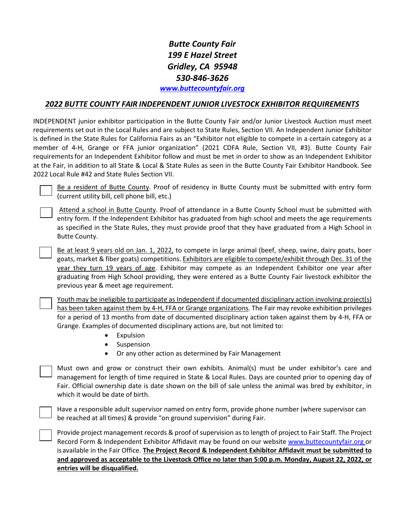## *Butte County Fair 199 E Hazel Street Gridley, CA 95948 530-846-3626 [www.buttecountyfair.org](http://www.buttecountyfair.org/)*

### *2022 BUTTE COUNTY FAIR INDEPENDENT JUNIOR LIVESTOCK EXHIBITOR REQUIREMENTS*

INDEPENDENT junior exhibitor participation in the Butte County Fair and/or Junior Livestock Auction must meet requirements set out in the Local Rules and are subject to State Rules, Section VII. An Independent Junior Exhibitor is defined in the State Rules for California Fairs as an "Exhibitor not eligible to compete in a certain category as a member of 4-H, Grange or FFA junior organization" (2021 CDFA Rule, Section VII, #3). Butte County Fair requirementsfor an Independent Exhibitor follow and must be met in order to show as an Independent Exhibitor at the Fair, in addition to all State & Local & State Rules as seen in the Butte County Fair Exhibitor Handbook. See 2022 Local Rule #42 and State Rules Section VII.

Be a resident of Butte County. Proof of residency in Butte County must be submitted with entry form (current utility bill, cell phone bill, etc.)

Attend a school in Butte County. Proof of attendance in a Butte County School must be submitted with entry form. If the Independent Exhibitor has graduated from high school and meets the age requirements as specified in the State Rules, they must provide proof that they have graduated from a High School in Butte County.

Be at least 9 years old on Jan. 1, 2022, to compete in large animal (beef, sheep, swine, dairy goats, boer goats, market & fiber goats) competitions. Exhibitors are eligible to compete/exhibit through Dec. 31 of the year they turn 19 years of age. Exhibitor may compete as an Independent Exhibitor one year after graduating from High School providing, they were entered as a Butte County Fair livestock exhibitor the previous year & meet age requirement.

Youth may be ineligible to participate as Independent if documented disciplinary action involving project(s) has been taken against them by 4-H, FFA or Grange organizations. The Fair may revoke exhibition privileges for a period of 13 months from date of documented disciplinary action taken against them by 4-H, FFA or Grange. Examples of documented disciplinary actions are, but not limited to:

- Expulsion
- Suspension
- Or any other action as determined by Fair Management

Must own and grow or construct their own exhibits. Animal(s) must be under exhibitor's care and management for length of time required in State & Local Rules. Days are counted prior to opening day of Fair. Official ownership date is date shown on the bill of sale unless the animal was bred by exhibitor, in which it would be date of birth.

Have a responsible adult supervisor named on entry form, provide phone number (where supervisor can be reached at all times) & provide "on ground supervision" during Fair.

Provide project management records & proof of supervision as to length of project to Fair Staff. The Project Record Form & Independent Exhibitor Affidavit may be found on our website [www.buttecountyfair.org](http://www.buttecountyfair.org/) or is available in the Fair Office. **The Project Record & Independent Exhibitor Affidavit must be submitted to and approved as acceptable to the Livestock Office no later than 5:00 p.m. Monday, August 22, 2022, or entries will be disqualified.**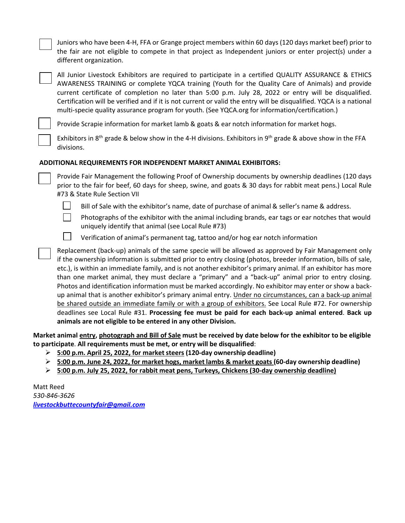Juniors who have been 4-H, FFA or Grange project members within 60 days (120 days market beef) prior to the fair are not eligible to compete in that project as Independent juniors or enter project(s) under a different organization.

All Junior Livestock Exhibitors are required to participate in a certified QUALITY ASSURANCE & ETHICS AWARENESS TRAINING or complete YQCA training (Youth for the Quality Care of Animals) and provide current certificate of completion no later than 5:00 p.m. July 28, 2022 or entry will be disqualified. Certification will be verified and if it is not current or valid the entry will be disqualified. YQCA is a national multi-specie quality assurance program for youth. (See YQCA.org for information/certification.)

Provide Scrapie information for market lamb & goats & ear notch information for market hogs.

Exhibitors in 8<sup>th</sup> grade & below show in the 4-H divisions. Exhibitors in 9<sup>th</sup> grade & above show in the FFA divisions.

### **ADDITIONAL REQUIREMENTS FOR INDEPENDENT MARKET ANIMAL EXHIBITORS:**

Provide Fair Management the following Proof of Ownership documents by ownership deadlines (120 days prior to the fair for beef, 60 days for sheep, swine, and goats & 30 days for rabbit meat pens.) Local Rule #73 & State Rule Section VII



Bill of Sale with the exhibitor's name, date of purchase of animal & seller's name & address.



Photographs of the exhibitor with the animal including brands, ear tags or ear notches that would

- uniquely identify that animal (see Local Rule #73)
- $\perp$ Verification of animal's permanent tag, tattoo and/or hog ear notch information

Replacement (back-up) animals of the same specie will be allowed as approved by Fair Management only if the ownership information is submitted prior to entry closing (photos, breeder information, bills of sale, etc.), is within an immediate family, and is not another exhibitor's primary animal. If an exhibitor has more than one market animal, they must declare a "primary" and a "back-up" animal prior to entry closing. Photos and identification information must be marked accordingly. No exhibitor may enter or show a backup animal that is another exhibitor's primary animal entry. Under no circumstances, can a back-up animal be shared outside an immediate family or with a group of exhibitors. See Local Rule #72. For ownership deadlines see Local Rule #31. **Processing fee must be paid for each back-up animal entered**. **Back up animals are not eligible to be entered in any other Division.**

**Market animal entry, photograph and Bill of Sale must be received by date below for the exhibitor to be eligible to participate**. **All requirements must be met, or entry will be disqualified**:

- **5:00 p.m. April 25, 2022, for marketsteers (120-day ownership deadline)**
- **5:00 p.m. June 24, 2022, for market hogs, market lambs & market goats (60-day ownership deadline)**
- **5:00 p.m. July 25, 2022, for rabbit meat pens, Turkeys, Chickens (30-day ownership deadline)**

Matt Reed *530-846-3626 livestockbuttecountyfair@gmail.com*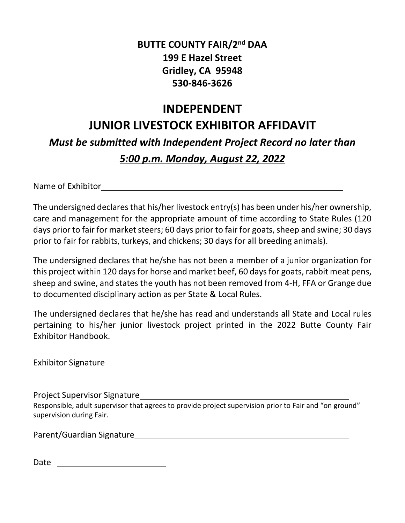# **BUTTE COUNTY FAIR/2nd DAA 199 E Hazel Street Gridley, CA 95948 530-846-3626**

# **INDEPENDENT JUNIOR LIVESTOCK EXHIBITOR AFFIDAVIT**

*Must be submitted with Independent Project Record no later than*

# *5:00 p.m. Monday, August 22, 2022*

Name of Exhibitor

The undersigned declares that his/her livestock entry(s) has been under his/her ownership, care and management for the appropriate amount of time according to State Rules (120 days prior to fair for market steers; 60 days prior to fair for goats, sheep and swine; 30 days prior to fair for rabbits, turkeys, and chickens; 30 days for all breeding animals).

The undersigned declares that he/she has not been a member of a junior organization for this project within 120 days for horse and market beef, 60 days for goats, rabbit meat pens, sheep and swine, and states the youth has not been removed from 4-H, FFA or Grange due to documented disciplinary action as per State & Local Rules.

The undersigned declares that he/she has read and understands all State and Local rules pertaining to his/her junior livestock project printed in the 2022 Butte County Fair Exhibitor Handbook.

Exhibitor Signature

Project Supervisor Signature

Responsible, adult supervisor that agrees to provide project supervision prior to Fair and "on ground" supervision during Fair.

Parent/Guardian Signature

Date and the contract of the contract of the contract of the contract of the contract of the contract of the contract of the contract of the contract of the contract of the contract of the contract of the contract of the c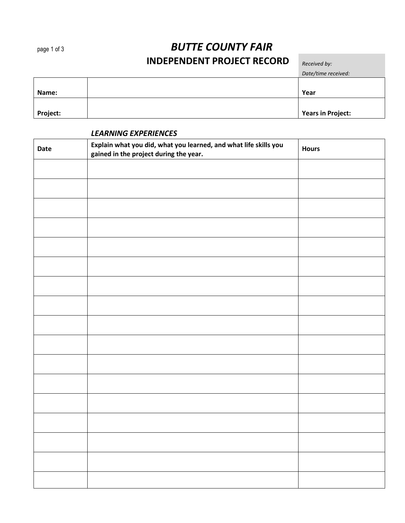# page 1 of 3 *BUTTE COUNTY FAIR* **INDEPENDENT PROJECT RECORD** *Received by:*

|                 | Date/time received:      |
|-----------------|--------------------------|
|                 |                          |
| Name:           | Year                     |
|                 |                          |
| <b>Project:</b> | <b>Years in Project:</b> |

### *LEARNING EXPERIENCES*

| Date | Explain what you did, what you learned, and what life skills you<br>gained in the project during the year. | <b>Hours</b> |
|------|------------------------------------------------------------------------------------------------------------|--------------|
|      |                                                                                                            |              |
|      |                                                                                                            |              |
|      |                                                                                                            |              |
|      |                                                                                                            |              |
|      |                                                                                                            |              |
|      |                                                                                                            |              |
|      |                                                                                                            |              |
|      |                                                                                                            |              |
|      |                                                                                                            |              |
|      |                                                                                                            |              |
|      |                                                                                                            |              |
|      |                                                                                                            |              |
|      |                                                                                                            |              |
|      |                                                                                                            |              |
|      |                                                                                                            |              |
|      |                                                                                                            |              |
|      |                                                                                                            |              |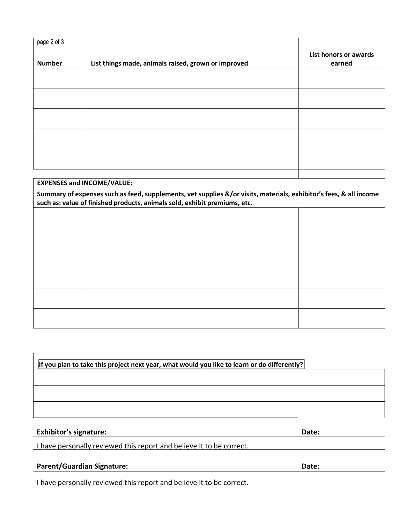| page 2 of 3                       |                                                     |                       |
|-----------------------------------|-----------------------------------------------------|-----------------------|
|                                   |                                                     | List honors or awards |
| <b>Number</b>                     | List things made, animals raised, grown or improved | earned                |
|                                   |                                                     |                       |
|                                   |                                                     |                       |
|                                   |                                                     |                       |
|                                   |                                                     |                       |
|                                   |                                                     |                       |
| <b>EXPENSES and INCOME/VALUE:</b> |                                                     |                       |

#### **EXPENSES and INCOME/VALUE:**

Summary of expenses such as feed, supplements, vet supplies &/or visits, materials, exhibitor's fees, & all income **such as: value of finished products, animals sold, exhibit premiums, etc.**

#### **If you plan to take this project next year, what would you like to learn or do differently?**

#### **Exhibitor's signature: Date:**

I have personally reviewed this report and believe it to be correct.

### **Parent/Guardian Signature: Date:**

I have personally reviewed this report and believe it to be correct.